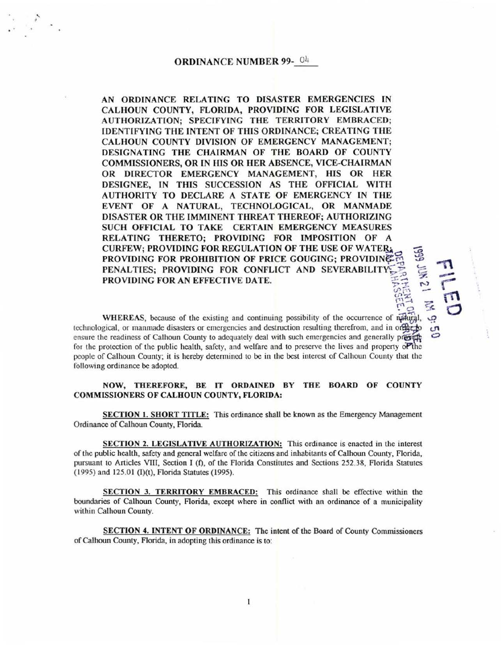## ORDINANCE NUMBER 99-<sup>04</sup>

' '

AN ORDINANCE RELATING TO DISASTER EMERGENCIES IN CALHOUN COUNTY, FLORIDA, PROVIDING FOR LEGISLATIVE AUTHORIZATION; SPECIFYING THE TERRITORY EMBRACED; IDENTIFYING THE INTENT OF THIS ORDINANCE; CREATING THE CALHOUN COUNTY DIVISION OF EMERGENCY MANAGEMENT; DESIGNATING THE CHAIRMAN OF THE BOARD OF COUNTY COMMISSIONERS, OR IN HIS OR HER ABSENCE, VICE-CHAIRMAN OR DIRECTOR EMERGENCY MANAGEMENT, HIS OR HER DESIGNEE, IN THIS SUCCESSION AS THE OFFICIAL WITH AUTHORITY TO DECLARE A STATE OF EMERGENCY IN THE EVENT OF A NATURAL, TECHNOLOGICAL, OR MANMADE DISASTER OR THE IMMINENT THREAT THEREOF; AUTHORIZING SUCH OFFICIAL TO TAKE CERTAIN EMERGENCY MEASURES RELATING THERETO; PROVIDING FOR IMPOSITION OF A CURFEW; PROVIDING FOR REGULATION OF THE USE OF WATER. PROVIDING FOR PROHIBITION OF PRICE GOUGING; PROVIDING PENALTIES; PROVIDING FOR CONFLICT AND SEVERABILITY *PROVIDING FOR AN EFFECTIVE DATE*.

WHEREAS, because of the existing and continuing possibility of the occurrence of natural technological, or manmade disasters or emergencies and destruction resulting therefrom, and in or $\mathbb{R}$ ensure the readiness of Calhoun County to adequately deal with such emergencies and generally provide for the protection of the public health, safety, and welfare and to preserve the lives and property of the people of Calhoun County; it is hereby determined to be in the best interest of Calhoun County that the following ordinance be adopted.

 $\mathbb{R}$   $\subseteq$   $\mathbb{R}$ 

## NOW, THEREFORE, BE IT ORDAINED BY THE BOARD OF COUNTY COMMISSIONERS OF CALHOUN COUNTY, FLORIDA:

SECTION 1. SHORT TITLE: This ordinance shall be known as the Emergency Management Ordinance of Calhoun County, Florida.

SECTION 2. LEGISLATIVE AUTHORIZATION: This ordinance is enacted in the interest of the public health, safety and general welfare of the citizens and inhabitants of Calhoun County, Florida, pursuant to Articles VIII, Section I (f), of the Florida Constitutes and Sections 252.38, Florida Statutes (1995) and 125.01 (I)(t), Florida Statutes (1995).

SECTION 3. TERRITORY EMBRACED: This ordinance shall be effective within the boundaries of Calhoun County, Florida, except where in conflict with an ordinance of a municipality within Calhoun County.

SECTION 4. INTENT OF ORDINANCE: The intent of the Board of County Commissioners of Calhoun County, Florida, in adopting this ordinance is to: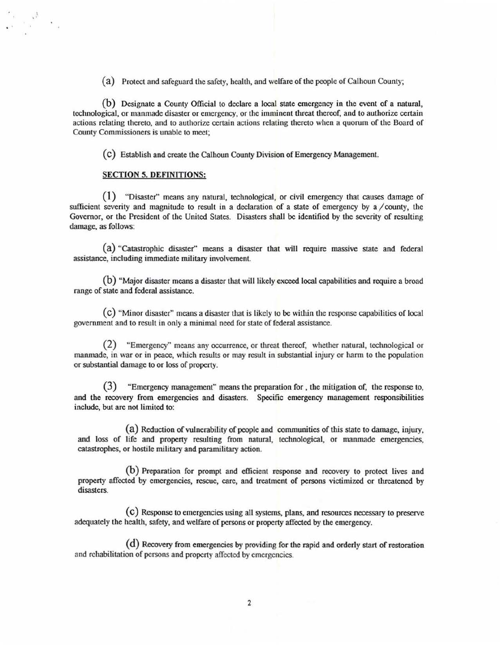(a) Protect and safeguard the safety, health, and welfare of the people of Calhoun County;

(b) Designate a County Official to declare a local state emergency in the event of a natural, technological, or manmade disaster or emergency, or the imminent threat thereof, and to authorize certain actions relating thereto, and to authorize certain actions relating thereto when a quorum of the Board of County Commissioners is unable to meet:

(C) Establish and create the Calhoun County Division of Emergency Management.

#### SECTION S. DEFINITIONS:

• '

(1) "Disaster" means any natural, technological, or civil emergency that causes damage of sufficient severity and magnitude to result in a declaration of a state of emergency by a  $\ell$  county, the Governor, or the President of the United States. Disasters shall be identified by the severity of resulting damage, as follows:

(a) "Catastrophic disaster" means a disaster that will require massive state and federal assistance, including immediate military involvement.

(b) "Major disaster means a disaster that will likely exceed local capabilities and require a broad range of state and federal assistance.

 $(c)$  "Minor disaster" means a disaster that is likely to be within the response capabilities of local government and to result in only a minimal need for state of federal assistance.

(2) "Emergency" means any occurrence, or threat thereof, whether natural, technological or manmade, in war or in peace, which results or may result in substantial injury or harm to the population or substantial damage to or loss of property.

(3) "Emergency management" means the preparation for, the mitigation of, the response to, and the recovery from emergencies and disasters. Specific emergency management responsibilities include, but are not limited to:

(a) Reduction of vulnerability of people and communities of this state to damage, injury, and loss of life and property resulting from natural, technological, or manmade emergencies, catastrophes, or hostile military and paramilitary action.

(b) Preparation for prompt and efficient response and recovery to protect lives and property affected by emergencies, rescue, care, and treatment of persons victimized or threatened by disasters.

(C) Response to emergencies using all systems, plans, and resources necessary to preserve adequately the health, safety, and welfare of persons or property affected by the emergency.

(d) Recovery from emergencies by providing for the rapid and orderly start of restoration and rehabilitation of persons and property affected by emergencies.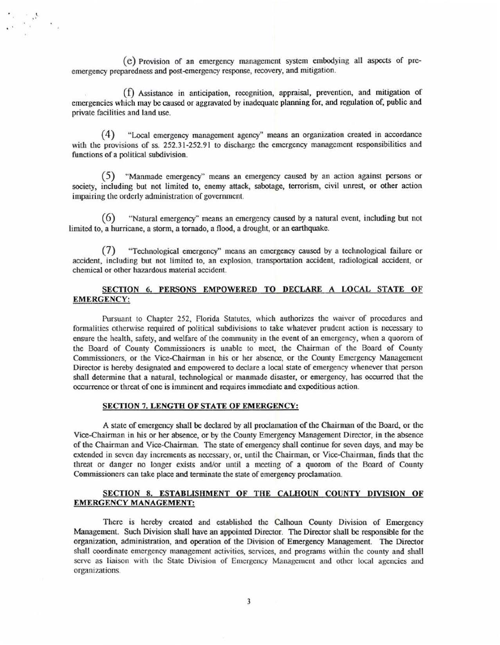(e) Provision of an emergency management system embodying all aspects of preemergency preparedness and post-emergency response, recovery, and mitigation.

 $\mathcal{L}_i$ 

 $(f)$  Assistance in anticipation, recognition, appraisal, prevention, and mitigation of emergencies which may be caused or aggravated by inadequate planning for, and regulation of, public and private facilities and land usc.

( 4) "Local emergency management agency" means an organization created in accordance with the provisions of ss. 252.31-252.91 to discharge the emergency management responsibilities and functions of a political subdivision.

(5) "Manmade emergency" means an emergency caused by an action against persons or society, including but not limited to, enemy attack, sabotage, terrorism, civil unrest, or other action impairing the orderly administration of government.

( 6) "Natural emergency" means an emergency caused by a natural event, including but not limited to, a hurricane, a storm, a tornado, a flood, a drought, or an earthquake.

(7) "Technological emergency" means an emergency caused by a technological failure or accident, including but not limited to, an explosion, transportation accident, radiological accident, or chemical or other hazardous material accident.

# SECTION 6. PERSONS EMPOWERED TO DECLARE A LOCAL STATE OF EMERGENCY:

Pursuant to Chapter 252, Florida Statutes, which authorizes the waiver of procedures and formalities otherwise required of political subdivisions to take whatever prudent action is necessary to ensure the health, safety, and welfare of the community in the event of an emergency, when a quorom of the Board of County Commissioners is unable to meet, the Chairman of the Board of County Commissioners, or the Vice-Chairman in his or her absence, or the County Emergency Management Director is hereby designated and empowered to declare a local state of emergency whenever that person shall determine that a natural, technological or manmade disaster, or emergency, has occurred that the occurrence or threat of one is imminent and requires immediate and expeditious action.

#### SECTION 7. LENGTH OF STATE OF EMERGENCY:

A state of emergency shall be declared by all proclamation of the Chairman of the Board, or the Vice-Chairman in his or her absence, or by the County Emergency Management Director, in the absence of the Chairman and Vice-Chairman. The state of emergency shall continue for seven days, and may be extended in seven day increments as necessary, or, until the Chairman, or Vice-Chairman, finds that the threat or danger no longer exists and/or until a meeting of a quorom of the Board of County Commissioners can take place and terminate the state of emergency proclamation.

## SECTION 8. ESTABLISHMENT OF THE CALHOUN COUNTY DIVISION OF EMERGENCY MANAGEMENT:

There is hereby created and established the Calhoun County Division of Emergency Management. Such Division shall have an appointed Director. The Director shall be responsible for the organization. administration. and operation of the Division of Emergency Management. The Director shall coordinate emergency management activities, services, and programs within the county and shall serve as liaison with the State Division of Emergency Management and other local agencies and organizations.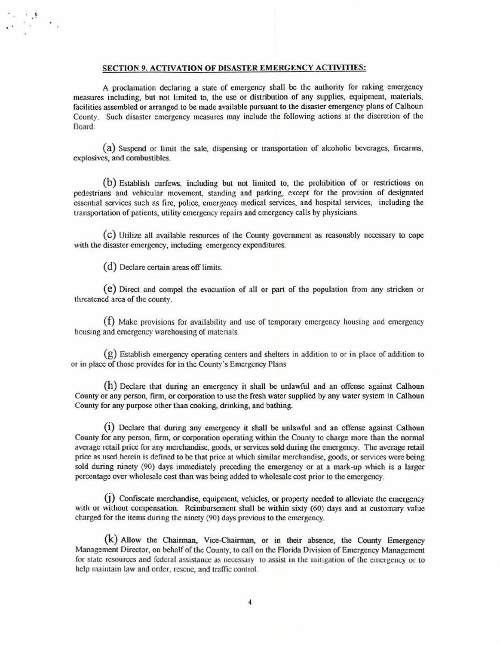## SECTION 9. ACTIVATION OF DISASTER EMERGENCY ACTMTIES:

A proclamation declaring a state of emergency shall be the authority for raking emergency measures including, but not limited to, the use or distribution of any supplies, equipment, materials, facilities assembled or arranged to be made available pursuant to the disaster emergency plans of Calhoun County. Such disaster emergency measures may include the following actions at the discretion of the Board:

(a) Suspend or limit the sale, dispensing or transportation of alcoholic beverages, firearms, explosives, and combustibles.

(b) Establish curfews, including but not limited to, the prohibition of or restncttons on pedestrians and vehicular movement, standing and parking, except for the provision of designated essential services such as fire, police, emergency medical services, and hospital services, including the transportation of patients, utility emergency repairs and emergency calls by physicians.

(C) Utilize all available resources of the County government as reasonably necessary to cope with the disaster emergency, including emergency expenditures.

(d) Declare certain areas off limits.

 $\frac{1}{\sqrt{2}}\left(\frac{1}{2}\right)^{\frac{1}{2}}$ 

(e) Direct and compel the evacuation of all or part of the population from any stricken or threatened area of the county.

(f) Make provisions for availability and use of temporary emergency housing and emergency housing and emergency warehousing of materials.

(g) Establish emergency operating centers and shelters in addition to or in place of addition to or in place of those provides for in the County's Emergency Plans

(h) Declare that during an emergency it shall be unlawful and an offense against Calhoun County or any person, firm, or corporation to use the fresh water supplied by any water system in Calhoun County for any purpose other than cooking, drinking, and bathing.

(i) Declare that during any emergency it shall be unlawful and an offense against Calhoun County for any person, firm, or corporation operating within the County to charge more than the normal average retail price for any merchandise, goods, or services sold during the emergency. The average retail price as used herein is defined to be that price at which similar merchandise, goods, or services were being sold during ninety (90) days immediately preceding the emergency or at a mark-up which is a larger percentage over wholesale cost than was being added to wholesale cost prior to the emergency.

 $(1)$  Confiscate merchandise, equipment, vehicles, or property needed to alleviate the emergency with or without compensation. Reimbursement shall be within sixty (60) days and at customary value charged for the items during the ninety (90) days previous to the emergency.

(k) Allow the Chairman, Vice-Chairman, or in their absence, the County Emergency Management Director, on behalf of the County, to call on the Florida Division of Emergency Management for state resources and federal assistance as necessary to assist in the mitigation of the emergency or to help maintain law and order, rescue, and traffic control.